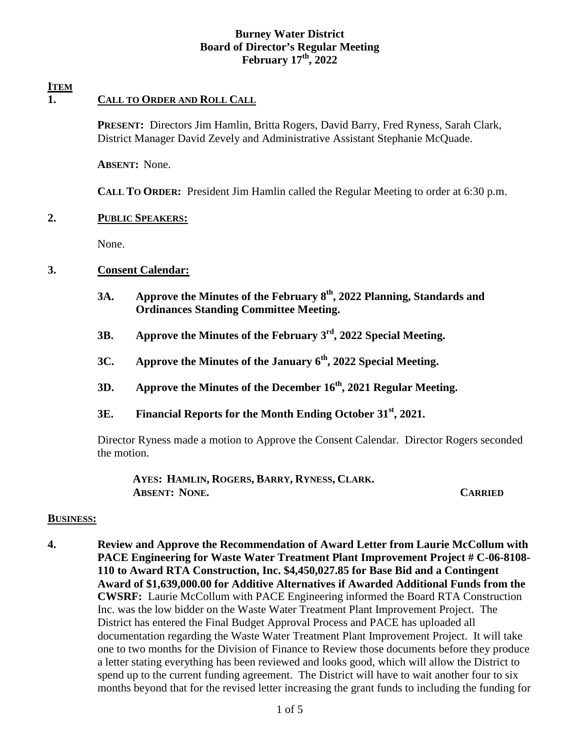## **Burney Water District Board of Director's Regular Meeting February 17th, 2022**

#### **ITEM 1. CALL TO ORDER AND ROLL CALL**

**PRESENT:** Directors Jim Hamlin, Britta Rogers, David Barry, Fred Ryness, Sarah Clark, District Manager David Zevely and Administrative Assistant Stephanie McQuade.

**ABSENT:** None.

**CALL TO ORDER:** President Jim Hamlin called the Regular Meeting to order at 6:30 p.m.

# **2. PUBLIC SPEAKERS:**

None.

# **3. Consent Calendar:**

- **3A. Approve the Minutes of the February 8th, 2022 Planning, Standards and Ordinances Standing Committee Meeting.**
- **3B. Approve the Minutes of the February 3rd, 2022 Special Meeting.**
- **3C. Approve the Minutes of the January 6th, 2022 Special Meeting.**
- **3D. Approve the Minutes of the December 16th, 2021 Regular Meeting.**
- **3E. Financial Reports for the Month Ending October 31st, 2021.**

Director Ryness made a motion to Approve the Consent Calendar. Director Rogers seconded the motion.

 **AYES: HAMLIN, ROGERS, BARRY, RYNESS, CLARK. ABSENT: NONE. CARRIED**

### **BUSINESS:**

**4. Review and Approve the Recommendation of Award Letter from Laurie McCollum with PACE Engineering for Waste Water Treatment Plant Improvement Project # C-06-8108- 110 to Award RTA Construction, Inc. \$4,450,027.85 for Base Bid and a Contingent Award of \$1,639,000.00 for Additive Alternatives if Awarded Additional Funds from the CWSRF:** Laurie McCollum with PACE Engineering informed the Board RTA Construction Inc. was the low bidder on the Waste Water Treatment Plant Improvement Project. The District has entered the Final Budget Approval Process and PACE has uploaded all documentation regarding the Waste Water Treatment Plant Improvement Project. It will take one to two months for the Division of Finance to Review those documents before they produce a letter stating everything has been reviewed and looks good, which will allow the District to spend up to the current funding agreement. The District will have to wait another four to six months beyond that for the revised letter increasing the grant funds to including the funding for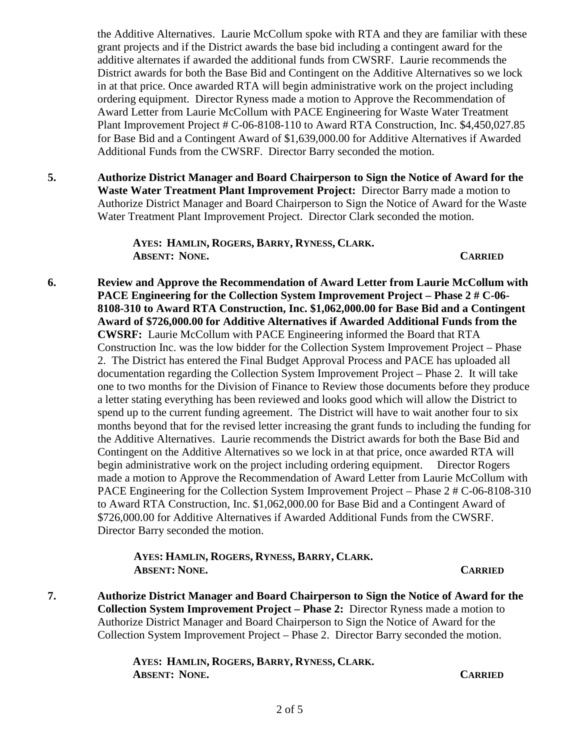the Additive Alternatives. Laurie McCollum spoke with RTA and they are familiar with these grant projects and if the District awards the base bid including a contingent award for the additive alternates if awarded the additional funds from CWSRF. Laurie recommends the District awards for both the Base Bid and Contingent on the Additive Alternatives so we lock in at that price. Once awarded RTA will begin administrative work on the project including ordering equipment. Director Ryness made a motion to Approve the Recommendation of Award Letter from Laurie McCollum with PACE Engineering for Waste Water Treatment Plant Improvement Project # C-06-8108-110 to Award RTA Construction, Inc. \$4,450,027.85 for Base Bid and a Contingent Award of \$1,639,000.00 for Additive Alternatives if Awarded Additional Funds from the CWSRF. Director Barry seconded the motion.

**5. Authorize District Manager and Board Chairperson to Sign the Notice of Award for the Waste Water Treatment Plant Improvement Project:** Director Barry made a motion to Authorize District Manager and Board Chairperson to Sign the Notice of Award for the Waste Water Treatment Plant Improvement Project. Director Clark seconded the motion.

> **AYES: HAMLIN, ROGERS, BARRY, RYNESS, CLARK. ABSENT: NONE. CARRIED**

**6. Review and Approve the Recommendation of Award Letter from Laurie McCollum with PACE Engineering for the Collection System Improvement Project – Phase 2 # C-06- 8108-310 to Award RTA Construction, Inc. \$1,062,000.00 for Base Bid and a Contingent Award of \$726,000.00 for Additive Alternatives if Awarded Additional Funds from the CWSRF:** Laurie McCollum with PACE Engineering informed the Board that RTA Construction Inc. was the low bidder for the Collection System Improvement Project – Phase 2. The District has entered the Final Budget Approval Process and PACE has uploaded all documentation regarding the Collection System Improvement Project – Phase 2. It will take one to two months for the Division of Finance to Review those documents before they produce a letter stating everything has been reviewed and looks good which will allow the District to spend up to the current funding agreement. The District will have to wait another four to six months beyond that for the revised letter increasing the grant funds to including the funding for the Additive Alternatives. Laurie recommends the District awards for both the Base Bid and Contingent on the Additive Alternatives so we lock in at that price, once awarded RTA will begin administrative work on the project including ordering equipment. Director Rogers made a motion to Approve the Recommendation of Award Letter from Laurie McCollum with PACE Engineering for the Collection System Improvement Project – Phase 2 # C-06-8108-310 to Award RTA Construction, Inc. \$1,062,000.00 for Base Bid and a Contingent Award of \$726,000.00 for Additive Alternatives if Awarded Additional Funds from the CWSRF. Director Barry seconded the motion.

> **AYES: HAMLIN, ROGERS, RYNESS, BARRY, CLARK. ABSENT: NONE. CARRIED**

**7. Authorize District Manager and Board Chairperson to Sign the Notice of Award for the Collection System Improvement Project – Phase 2:** Director Ryness made a motion to Authorize District Manager and Board Chairperson to Sign the Notice of Award for the Collection System Improvement Project – Phase 2. Director Barry seconded the motion.

> **AYES: HAMLIN, ROGERS, BARRY, RYNESS, CLARK. ABSENT: NONE. CARRIED**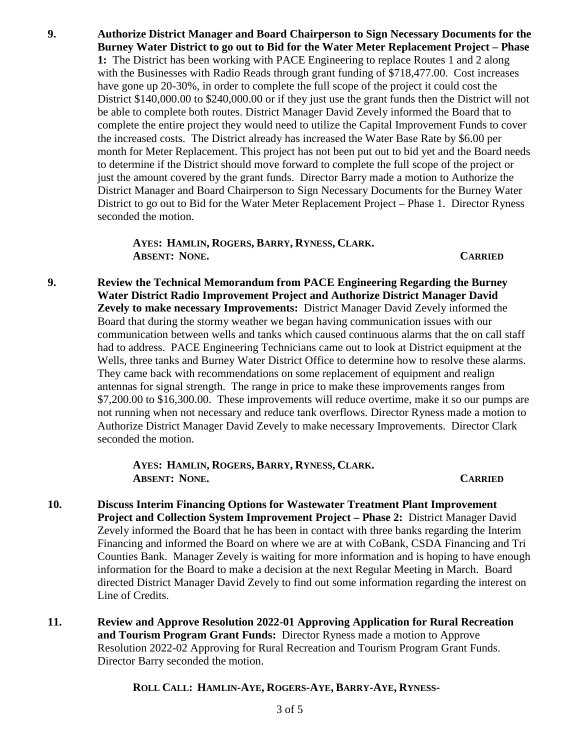**9. Authorize District Manager and Board Chairperson to Sign Necessary Documents for the Burney Water District to go out to Bid for the Water Meter Replacement Project – Phase 1:** The District has been working with PACE Engineering to replace Routes 1 and 2 along with the Businesses with Radio Reads through grant funding of \$718,477.00. Cost increases have gone up 20-30%, in order to complete the full scope of the project it could cost the District \$140,000.00 to \$240,000.00 or if they just use the grant funds then the District will not be able to complete both routes. District Manager David Zevely informed the Board that to complete the entire project they would need to utilize the Capital Improvement Funds to cover the increased costs. The District already has increased the Water Base Rate by \$6.00 per month for Meter Replacement. This project has not been put out to bid yet and the Board needs to determine if the District should move forward to complete the full scope of the project or just the amount covered by the grant funds. Director Barry made a motion to Authorize the District Manager and Board Chairperson to Sign Necessary Documents for the Burney Water District to go out to Bid for the Water Meter Replacement Project – Phase 1. Director Ryness seconded the motion.

#### **AYES: HAMLIN, ROGERS, BARRY, RYNESS, CLARK. ABSENT: NONE. CARRIED**

**9. Review the Technical Memorandum from PACE Engineering Regarding the Burney Water District Radio Improvement Project and Authorize District Manager David Zevely to make necessary Improvements:** District Manager David Zevely informed the Board that during the stormy weather we began having communication issues with our communication between wells and tanks which caused continuous alarms that the on call staff had to address. PACE Engineering Technicians came out to look at District equipment at the Wells, three tanks and Burney Water District Office to determine how to resolve these alarms. They came back with recommendations on some replacement of equipment and realign antennas for signal strength. The range in price to make these improvements ranges from \$7,200.00 to \$16,300.00. These improvements will reduce overtime, make it so our pumps are not running when not necessary and reduce tank overflows. Director Ryness made a motion to Authorize District Manager David Zevely to make necessary Improvements. Director Clark seconded the motion.

> **AYES: HAMLIN, ROGERS, BARRY, RYNESS, CLARK. ABSENT: NONE. CARRIED**

- **10. Discuss Interim Financing Options for Wastewater Treatment Plant Improvement Project and Collection System Improvement Project – Phase 2:** District Manager David Zevely informed the Board that he has been in contact with three banks regarding the Interim Financing and informed the Board on where we are at with CoBank, CSDA Financing and Tri Counties Bank. Manager Zevely is waiting for more information and is hoping to have enough information for the Board to make a decision at the next Regular Meeting in March. Board directed District Manager David Zevely to find out some information regarding the interest on Line of Credits.
- **11. Review and Approve Resolution 2022-01 Approving Application for Rural Recreation and Tourism Program Grant Funds:** Director Ryness made a motion to Approve Resolution 2022-02 Approving for Rural Recreation and Tourism Program Grant Funds. Director Barry seconded the motion.

### **ROLL CALL: HAMLIN-AYE, ROGERS-AYE, BARRY-AYE, RYNESS-**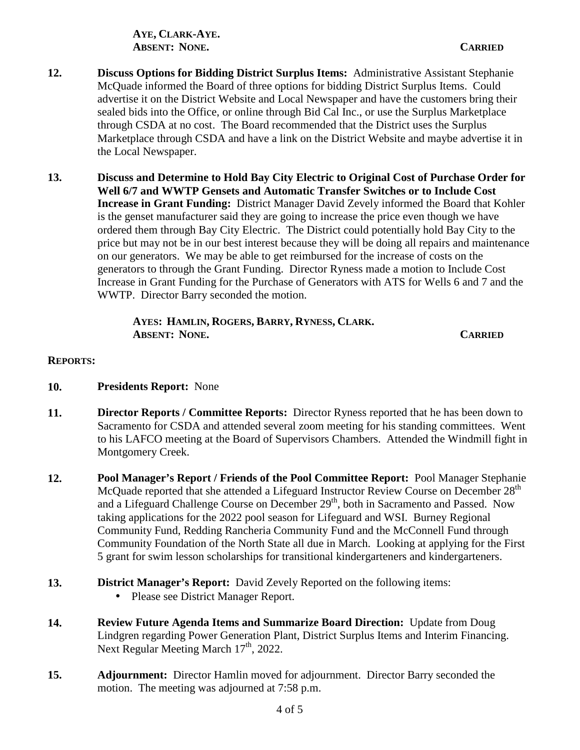**AYE, CLARK-AYE. ABSENT: NONE. CARRIED**

- **12. Discuss Options for Bidding District Surplus Items:** Administrative Assistant Stephanie McQuade informed the Board of three options for bidding District Surplus Items. Could advertise it on the District Website and Local Newspaper and have the customers bring their sealed bids into the Office, or online through Bid Cal Inc., or use the Surplus Marketplace through CSDA at no cost. The Board recommended that the District uses the Surplus Marketplace through CSDA and have a link on the District Website and maybe advertise it in the Local Newspaper.
- **13. Discuss and Determine to Hold Bay City Electric to Original Cost of Purchase Order for Well 6/7 and WWTP Gensets and Automatic Transfer Switches or to Include Cost Increase in Grant Funding:** District Manager David Zevely informed the Board that Kohler is the genset manufacturer said they are going to increase the price even though we have ordered them through Bay City Electric. The District could potentially hold Bay City to the price but may not be in our best interest because they will be doing all repairs and maintenance on our generators. We may be able to get reimbursed for the increase of costs on the generators to through the Grant Funding. Director Ryness made a motion to Include Cost Increase in Grant Funding for the Purchase of Generators with ATS for Wells 6 and 7 and the WWTP. Director Barry seconded the motion.

| AYES: HAMLIN, ROGERS, BARRY, RYNESS, CLARK. |                |
|---------------------------------------------|----------------|
| <b>ABSENT: NONE.</b>                        | <b>CARRIED</b> |

#### **REPORTS:**

- **10. Presidents Report:** None
- **11. Director Reports / Committee Reports:** Director Ryness reported that he has been down to Sacramento for CSDA and attended several zoom meeting for his standing committees. Went to his LAFCO meeting at the Board of Supervisors Chambers. Attended the Windmill fight in Montgomery Creek.
- **12. Pool Manager's Report / Friends of the Pool Committee Report:** Pool Manager Stephanie McQuade reported that she attended a Lifeguard Instructor Review Course on December 28<sup>th</sup> and a Lifeguard Challenge Course on December 29<sup>th</sup>, both in Sacramento and Passed. Now taking applications for the 2022 pool season for Lifeguard and WSI. Burney Regional Community Fund, Redding Rancheria Community Fund and the McConnell Fund through Community Foundation of the North State all due in March. Looking at applying for the First 5 grant for swim lesson scholarships for transitional kindergarteners and kindergarteners.
- **13. District Manager's Report:** David Zevely Reported on the following items:
	- Please see District Manager Report.
- **14. Review Future Agenda Items and Summarize Board Direction:** Update from Doug Lindgren regarding Power Generation Plant, District Surplus Items and Interim Financing. Next Regular Meeting March 17<sup>th</sup>, 2022.
- **15. Adjournment:** Director Hamlin moved for adjournment. Director Barry seconded the motion. The meeting was adjourned at 7:58 p.m.